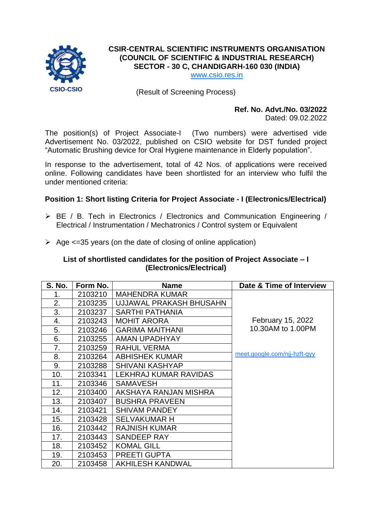

# **CSIR-CENTRAL SCIENTIFIC INSTRUMENTS ORGANISATION (COUNCIL OF SCIENTIFIC & INDUSTRIAL RESEARCH) SECTOR - 30 C, CHANDIGARH-160 030 (INDIA)**

[www.csio.res.in](http://www.csio.res.in/)

(Result of Screening Process)

# **Ref. No. Advt./No. 03/2022**

Dated: 09.02.2022

The position(s) of Project Associate-I (Two numbers) were advertised vide Advertisement No. 03/2022, published on CSIO website for DST funded project "Automatic Brushing device for Oral Hygiene maintenance in Elderly population".

In response to the advertisement, total of 42 Nos. of applications were received online. Following candidates have been shortlisted for an interview who fulfil the under mentioned criteria:

#### **Position 1: Short listing Criteria for Project Associate - I (Electronics/Electrical)**

- BE / B. Tech in Electronics / Electronics and Communication Engineering / Electrical / Instrumentation / Mechatronics / Control system or Equivalent
- $\geq$  Age <=35 years (on the date of closing of online application)

#### **List of shortlisted candidates for the position of Project Associate – I (Electronics/Electrical)**

| <b>S. No.</b> | Form No. | <b>Name</b>             | Date & Time of Interview     |
|---------------|----------|-------------------------|------------------------------|
| 1.            | 2103210  | <b>MAHENDRA KUMAR</b>   |                              |
| 2.            | 2103235  | UJJAWAL PRAKASH BHUSAHN |                              |
| 3.            | 2103237  | <b>SARTHI PATHANIA</b>  |                              |
| 4.            | 2103243  | <b>MOHIT ARORA</b>      | February 15, 2022            |
| 5.            | 2103246  | <b>GARIMA MAITHANI</b>  | 10.30AM to 1.00PM            |
| 6.            | 2103255  | AMAN UPADHYAY           |                              |
| 7.            | 2103259  | <b>RAHUL VERMA</b>      |                              |
| 8.            | 2103264  | <b>ABHISHEK KUMAR</b>   | meet.google.com/njj-hzft-qyy |
| 9.            | 2103288  | <b>SHIVANI KASHYAP</b>  |                              |
| 10.           | 2103341  | LEKHRAJ KUMAR RAVIDAS   |                              |
| 11.           | 2103346  | <b>SAMAVESH</b>         |                              |
| 12.           | 2103400  | AKSHAYA RANJAN MISHRA   |                              |
| 13.           | 2103407  | <b>BUSHRA PRAVEEN</b>   |                              |
| 14.           | 2103421  | <b>SHIVAM PANDEY</b>    |                              |
| 15.           | 2103428  | <b>SELVAKUMAR H</b>     |                              |
| 16.           | 2103442  | <b>RAJNISH KUMAR</b>    |                              |
| 17.           | 2103443  | SANDEEP RAY             |                              |
| 18.           | 2103452  | <b>KOMAL GILL</b>       |                              |
| 19.           | 2103453  | <b>PREETI GUPTA</b>     |                              |
| 20.           | 2103458  | <b>AKHILESH KANDWAL</b> |                              |